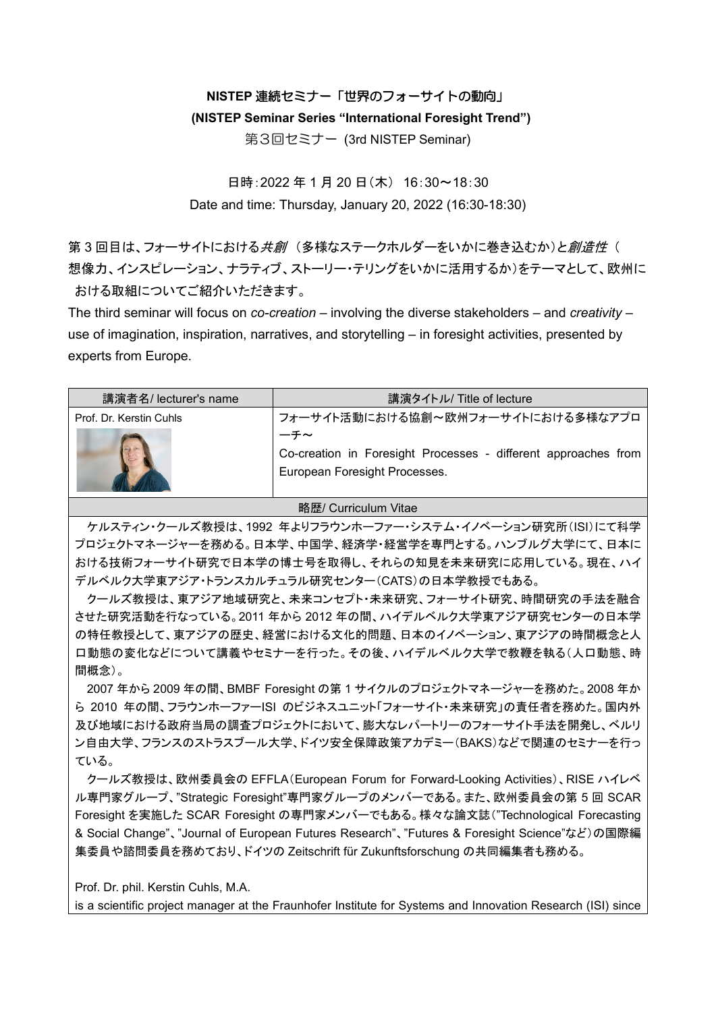## **NISTEP** 連続セミナー「世界のフォーサイトの動向」

## **(NISTEP Seminar Series "International Foresight Trend")**

第3回セミナー (3rd NISTEP Seminar)

日時:2022 年 1 月 20 日(木) 16:30~18:30 Date and time: Thursday, January 20, 2022 (16:30-18:30)

第3回目は、フォーサイトにおける*共創* (多様なステークホルダーをいかに巻き込むか)と*創造性* ( 想像力、インスピレーション、ナラティブ、ストーリー・テリングをいかに活用するか)をテーマとして、欧州に おける取組についてご紹介いただきます。

The third seminar will focus on *co-creation* – involving the diverse stakeholders – and *creativity* – use of imagination, inspiration, narratives, and storytelling – in foresight activities, presented by experts from Europe.

| 講演者名/ lecturer's name   | 講演タイトル/ Title of lecture                                                                               |
|-------------------------|--------------------------------------------------------------------------------------------------------|
| Prof. Dr. Kerstin Cuhls | フォーサイト活動における協創~欧州フォーサイトにおける多様なアプロ                                                                      |
|                         | ーチ〜<br>Co-creation in Foresight Processes - different approaches from<br>European Foresight Processes. |

## 略歴/ Curriculum Vitae

ケルスティン・クールズ教授は、1992 年よりフラウンホーファー・システム・イノベーション研究所(ISI)にて科学 プロジェクトマネージャーを務める。日本学、中国学、経済学・経営学を専門とする。ハンブルグ大学にて、日本に おける技術フォーサイト研究で日本学の博士号を取得し、それらの知見を未来研究に応用している。現在、ハイ デルベルク大学東アジア・トランスカルチュラル研究センター(CATS)の日本学教授でもある。

クールズ教授は、東アジア地域研究と、未来コンセプト・未来研究、フォーサイト研究、時間研究の手法を融合 させた研究活動を行なっている。2011 年から 2012 年の間、ハイデルベルク大学東アジア研究センターの日本学 の特任教授として、東アジアの歴史、経営における文化的問題、日本のイノベーション、東アジアの時間概念と人 口動態の変化などについて講義やセミナーを行った。その後、ハイデルベルク大学で教鞭を執る(人口動態、時 間概念)。

2007 年から 2009 年の間、BMBF Foresight の第 1 サイクルのプロジェクトマネージャーを務めた。2008 年か ら 2010 年の間、フラウンホーファーISI のビジネスユニット「フォーサイト・未来研究」の責任者を務めた。国内外 及び地域における政府当局の調査プロジェクトにおいて、膨大なレパートリーのフォーサイト手法を開発し、ベルリ ン自由大学、フランスのストラスブール大学、ドイツ安全保障政策アカデミー(BAKS)などで関連のセミナーを行っ ている。

クールズ教授は、欧州委員会の EFFLA(European Forum for Forward-Looking Activities)、RISE ハイレベ ル専門家グループ、"Strategic Foresight"専門家グループのメンバーである。また、欧州委員会の第 5 回 SCAR Foresight を実施した SCAR Foresight の専門家メンバーでもある。様々な論文誌("Technological Forecasting & Social Change"、"Journal of European Futures Research"、"Futures & Foresight Science"など)の国際編 集委員や諮問委員を務めており、ドイツの Zeitschrift für Zukunftsforschung の共同編集者も務める。

Prof. Dr. phil. Kerstin Cuhls, M.A.

is a scientific project manager at the Fraunhofer Institute for Systems and Innovation Research (ISI) since